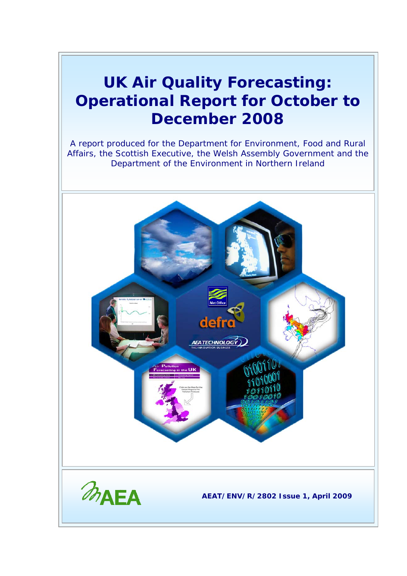### **UK Air Quality Forecasting: Operational Report for October to December 2008**

A report produced for the Department for Environment, Food and Rural Affairs, the Scottish Executive, the Welsh Assembly Government and the Department of the Environment in Northern Ireland

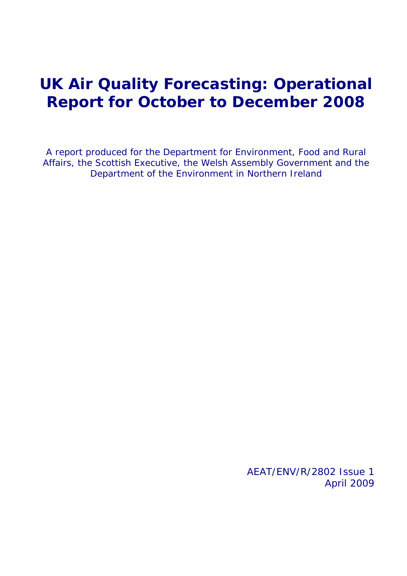### **UK Air Quality Forecasting: Operational Report for October to December 2008**

A report produced for the Department for Environment, Food and Rural Affairs, the Scottish Executive, the Welsh Assembly Government and the Department of the Environment in Northern Ireland

> AEAT/ENV/R/2802 Issue 1 April 2009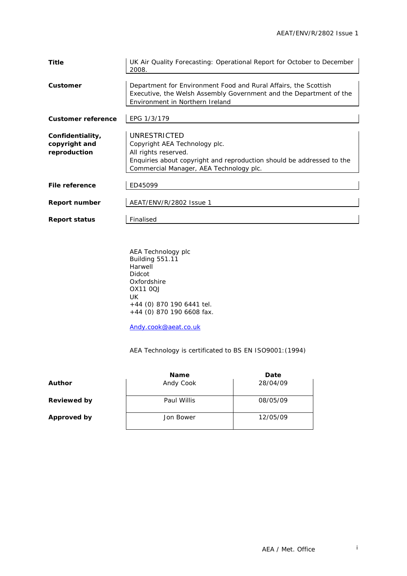| Title                                             | UK Air Quality Forecasting: Operational Report for October to December<br>2008.                                                                                                           |
|---------------------------------------------------|-------------------------------------------------------------------------------------------------------------------------------------------------------------------------------------------|
| Customer                                          | Department for Environment Food and Rural Affairs, the Scottish<br>Executive, the Welsh Assembly Government and the Department of the<br>Environment in Northern Ireland                  |
| <b>Customer reference</b>                         | EPG 1/3/179                                                                                                                                                                               |
| Confidentiality,<br>copyright and<br>reproduction | UNRESTRICTED<br>Copyright AEA Technology plc.<br>All rights reserved.<br>Enquiries about copyright and reproduction should be addressed to the<br>Commercial Manager, AEA Technology plc. |
| File reference                                    | ED45099                                                                                                                                                                                   |
| <b>Report number</b>                              | AEAT/ENV/R/2802 Issue 1                                                                                                                                                                   |
| <b>Report status</b>                              | Finalised                                                                                                                                                                                 |

AEA Technology plc Building 551.11 Harwell Didcot Oxfordshire OX11 0QJ UK +44 (0) 870 190 6441 tel. +44 (0) 870 190 6608 fax.

[Andy.cook@aeat.co.uk](mailto:Jaume.targa@aeat.co.uk)

AEA Technology is certificated to BS EN ISO9001:(1994)

|                    | <b>Name</b> | Date     |
|--------------------|-------------|----------|
| Author             | Andy Cook   | 28/04/09 |
| <b>Reviewed by</b> | Paul Willis | 08/05/09 |
| Approved by        | Jon Bower   | 12/05/09 |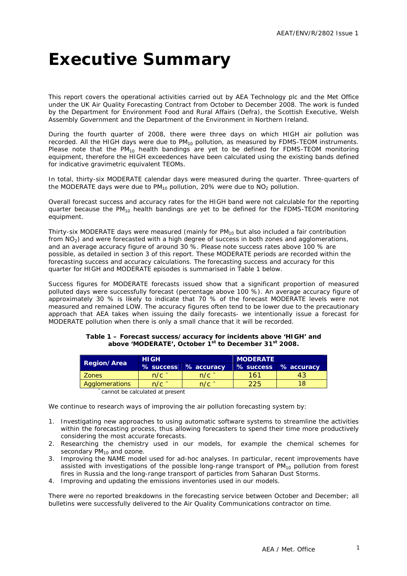# <span id="page-3-0"></span>**Executive Summary**

This report covers the operational activities carried out by AEA Technology plc and the Met Office under the UK Air Quality Forecasting Contract from October to December 2008. The work is funded by the Department for Environment Food and Rural Affairs (Defra), the Scottish Executive, Welsh Assembly Government and the Department of the Environment in Northern Ireland.

During the fourth quarter of 2008, there were three days on which HIGH air pollution was recorded. All the HIGH days were due to  $PM_{10}$  pollution, as measured by FDMS-TEOM instruments. Please note that the  $PM_{10}$  health bandings are yet to be defined for FDMS-TEOM monitoring equipment, therefore the HIGH exceedences have been calculated using the existing bands defined for indicative gravimetric equivalent TEOMs.

In total, thirty-six MODERATE calendar days were measured during the quarter. Three-quarters of the MODERATE days were due to  $PM_{10}$  pollution, 20% were due to  $NO<sub>2</sub>$  pollution.

Overall forecast success and accuracy rates for the HIGH band were not calculable for the reporting quarter because the  $PM_{10}$  health bandings are yet to be defined for the FDMS-TEOM monitoring equipment.

Thirty-six MODERATE days were measured (mainly for  $PM_{10}$  but also included a fair contribution from  $NO<sub>2</sub>$ ) and were forecasted with a high degree of success in both zones and agglomerations, and an average accuracy figure of around 30 %. Please note success rates above 100 % are possible, as detailed in section 3 of this report. These MODERATE periods are recorded within the forecasting success and accuracy calculations. The forecasting success and accuracy for this quarter for HIGH and MODERATE episodes is summarised in Table 1 below.

Success figures for MODERATE forecasts issued show that a significant proportion of measured polluted days were successfully forecast (percentage above 100 %). An average accuracy figure of approximately 30 % is likely to indicate that 70 % of the forecast MODERATE levels were not measured and remained LOW. The accuracy figures often tend to be lower due to the precautionary approach that AEA takes when issuing the daily forecasts- we intentionally issue a forecast for MODERATE pollution when there is only a small chance that it will be recorded.

|                    | <b>HIGH</b>     |                   | <b>MODERATE</b> |                      |  |  |  |
|--------------------|-----------------|-------------------|-----------------|----------------------|--|--|--|
| <b>Region/Area</b> | % success       | % accuracy        |                 | % success % accuracy |  |  |  |
| <b>Zones</b>       | $n/c$ $\hat{ }$ | $n/c$ $^{\wedge}$ | 161             |                      |  |  |  |
| Agglomerations     | $n/c$ $\hat{ }$ | $n/c$ $\hat{ }$   | 225             |                      |  |  |  |

#### **Table 1 – Forecast success/accuracy for incidents above 'HIGH' and above 'MODERATE', October 1st to December 31st 2008.**

cannot be calculated at present

We continue to research ways of improving the air pollution forecasting system by:

- 1. Investigating new approaches to using automatic software systems to streamline the activities within the forecasting process, thus allowing forecasters to spend their time more productively considering the most accurate forecasts.
- 2. Researching the chemistry used in our models, for example the chemical schemes for secondary  $PM_{10}$  and ozone.
- 3. Improving the NAME model used for ad-hoc analyses. In particular, recent improvements have assisted with investigations of the possible long-range transport of  $PM_{10}$  pollution from forest fires in Russia and the long-range transport of particles from Saharan Dust Storms.
- 4. Improving and updating the emissions inventories used in our models.

There were no reported breakdowns in the forecasting service between October and December; all bulletins were successfully delivered to the Air Quality Communications contractor on time.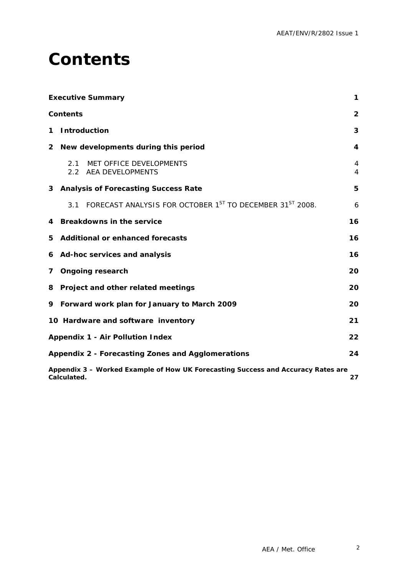## <span id="page-4-0"></span>**Contents**

|   | <b>Executive Summary</b>                                                                              | 1              |  |  |  |  |  |  |
|---|-------------------------------------------------------------------------------------------------------|----------------|--|--|--|--|--|--|
|   | <b>Contents</b>                                                                                       | $\overline{2}$ |  |  |  |  |  |  |
| 1 | <b>Introduction</b>                                                                                   | 3              |  |  |  |  |  |  |
| 2 | New developments during this period                                                                   | 4              |  |  |  |  |  |  |
|   | MET OFFICE DEVELOPMENTS<br>2.1<br>2.2 AEA DEVELOPMENTS                                                | 4<br>4         |  |  |  |  |  |  |
|   | 3 Analysis of Forecasting Success Rate                                                                | 5              |  |  |  |  |  |  |
|   | FORECAST ANALYSIS FOR OCTOBER 1 <sup>ST</sup> TO DECEMBER 31 <sup>ST</sup> 2008.<br>3.1               | 6              |  |  |  |  |  |  |
| 4 | <b>Breakdowns in the service</b>                                                                      | 16             |  |  |  |  |  |  |
| 5 | <b>Additional or enhanced forecasts</b>                                                               | 16             |  |  |  |  |  |  |
|   | 6 Ad-hoc services and analysis                                                                        | 16             |  |  |  |  |  |  |
| 7 | <b>Ongoing research</b>                                                                               | 20             |  |  |  |  |  |  |
| 8 | Project and other related meetings                                                                    | 20             |  |  |  |  |  |  |
| 9 | Forward work plan for January to March 2009                                                           | 20             |  |  |  |  |  |  |
|   | 10 Hardware and software inventory                                                                    | 21             |  |  |  |  |  |  |
|   | <b>Appendix 1 - Air Pollution Index</b>                                                               | 22             |  |  |  |  |  |  |
|   | Appendix 2 - Forecasting Zones and Agglomerations<br>24                                               |                |  |  |  |  |  |  |
|   | Appendix 3 - Worked Example of How UK Forecasting Success and Accuracy Rates are<br>Calculated.<br>27 |                |  |  |  |  |  |  |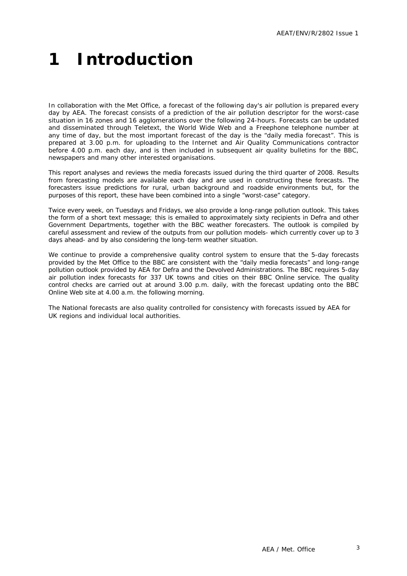# <span id="page-5-0"></span>**1 Introduction**

In collaboration with the Met Office, a forecast of the following day's air pollution is prepared every day by AEA. The forecast consists of a prediction of the air pollution descriptor for the worst-case situation in 16 zones and 16 agglomerations over the following 24-hours. Forecasts can be updated and disseminated through Teletext, the World Wide Web and a Freephone telephone number at any time of day, but the most important forecast of the day is the "daily media forecast". This is prepared at 3.00 p.m. for uploading to the Internet and Air Quality Communications contractor before 4.00 p.m. each day, and is then included in subsequent air quality bulletins for the BBC, newspapers and many other interested organisations.

This report analyses and reviews the media forecasts issued during the third quarter of 2008. Results from forecasting models are available each day and are used in constructing these forecasts. The forecasters issue predictions for rural, urban background and roadside environments but, for the purposes of this report, these have been combined into a single "worst-case" category.

Twice every week, on Tuesdays and Fridays, we also provide a long-range pollution outlook. This takes the form of a short text message; this is emailed to approximately sixty recipients in Defra and other Government Departments, together with the BBC weather forecasters. The outlook is compiled by careful assessment and review of the outputs from our pollution models- which currently cover up to 3 days ahead- and by also considering the long-term weather situation.

We continue to provide a comprehensive quality control system to ensure that the 5-day forecasts provided by the Met Office to the BBC are consistent with the "daily media forecasts" and long-range pollution outlook provided by AEA for Defra and the Devolved Administrations. The BBC requires 5-day air pollution index forecasts for 337 UK towns and cities on their BBC Online service. The quality control checks are carried out at around 3.00 p.m. daily, with the forecast updating onto the BBC Online Web site at 4.00 a.m. the following morning.

The National forecasts are also quality controlled for consistency with forecasts issued by AEA for UK regions and individual local authorities.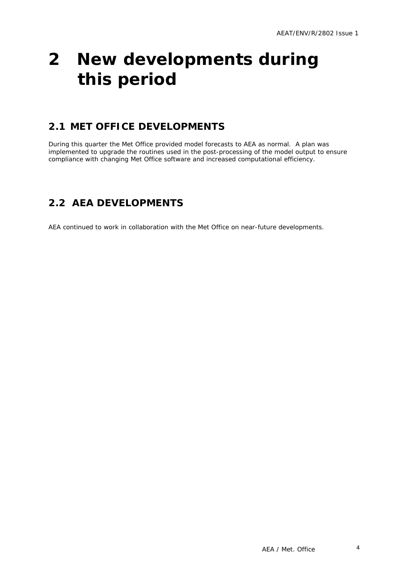# <span id="page-6-0"></span>**2 New developments during this period**

### **2.1 MET OFFICE DEVELOPMENTS**

During this quarter the Met Office provided model forecasts to AEA as normal. A plan was implemented to upgrade the routines used in the post-processing of the model output to ensure compliance with changing Met Office software and increased computational efficiency.

### **2.2 AEA DEVELOPMENTS**

AEA continued to work in collaboration with the Met Office on near-future developments.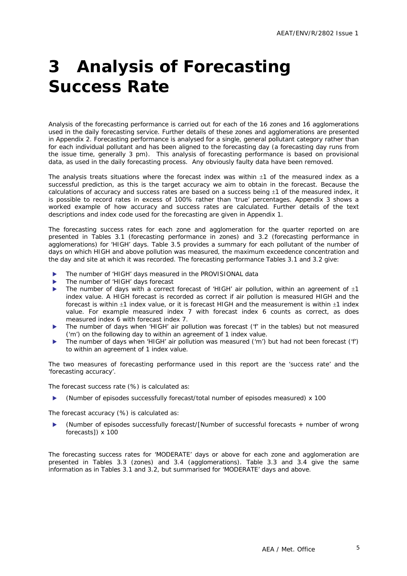# <span id="page-7-0"></span>**3 Analysis of Forecasting Success Rate**

Analysis of the forecasting performance is carried out for each of the 16 zones and 16 agglomerations used in the daily forecasting service. Further details of these zones and agglomerations are presented in Appendix 2. Forecasting performance is analysed for a single, general pollutant category rather than for each individual pollutant and has been aligned to the forecasting day (a forecasting day runs from the issue time, generally 3 pm). This analysis of forecasting performance is based on provisional data, as used in the daily forecasting process. Any obviously faulty data have been removed.

The analysis treats situations where the forecast index was within  $\pm 1$  of the measured index as a successful prediction, as this is the target accuracy we aim to obtain in the forecast. Because the calculations of accuracy and success rates are based on a success being  $\pm 1$  of the measured index, it is possible to record rates in excess of 100% rather than 'true' percentages. Appendix 3 shows a worked example of how accuracy and success rates are calculated. Further details of the text descriptions and index code used for the forecasting are given in Appendix 1.

The forecasting success rates for each zone and agglomeration for the quarter reported on are presented in Tables 3.1 (forecasting performance in zones) and 3.2 (forecasting performance in agglomerations) for 'HIGH' days. Table 3.5 provides a summary for each pollutant of the number of days on which HIGH and above pollution was measured, the maximum exceedence concentration and the day and site at which it was recorded. The forecasting performance Tables 3.1 and 3.2 give:

- The number of 'HIGH' days measured in the PROVISIONAL data
- The number of 'HIGH' days forecast
- The number of days with a correct forecast of 'HIGH' air pollution, within an agreement of  $\pm 1$ index value. A HIGH forecast is recorded as correct if air pollution is measured HIGH and the forecast is within ±1 index value, or it is forecast HIGH and the measurement is within ±1 index value. For example measured index 7 with forecast index 6 counts as correct, as does measured index 6 with forecast index 7.
- The number of days when 'HIGH' air pollution was forecast ('f' in the tables) but not measured ('m') on the following day to within an agreement of 1 index value.
- The number of days when 'HIGH' air pollution was measured ('m') but had not been forecast ('f') to within an agreement of 1 index value.

The two measures of forecasting performance used in this report are the 'success rate' and the 'forecasting accuracy'.

The forecast success rate (%) is calculated as:

(Number of episodes successfully forecast/total number of episodes measured) x 100

The forecast accuracy (%) is calculated as:

(Number of episodes successfully forecast/[Number of successful forecasts + number of wrong forecasts]) x 100

The forecasting success rates for 'MODERATE' days or above for each zone and agglomeration are presented in Tables 3.3 (zones) and 3.4 (agglomerations). Table 3.3 and 3.4 give the same information as in Tables 3.1 and 3.2, but summarised for 'MODERATE' days and above.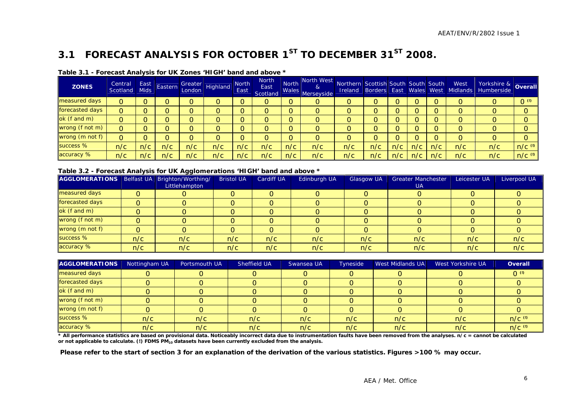### **3.1 FORECAST ANALYSIS FOR OCTOBER 1ST TO DECEMBER 31ST 2008.**

| <b>ZONES</b>    | Central<br>Scotland | East<br><b>Mids</b> | Eastern | Greater<br>London | Highland | North<br>East | <b>North</b><br>East<br>Scotland | <b>North</b><br>Wales | North West<br>&<br>Merseyside | Northern Scottish South South South |     |     |     |     | West<br>Ireland Borders East Wales West Midlands | Yorkshire &<br>Humberside | Overall              |
|-----------------|---------------------|---------------------|---------|-------------------|----------|---------------|----------------------------------|-----------------------|-------------------------------|-------------------------------------|-----|-----|-----|-----|--------------------------------------------------|---------------------------|----------------------|
| measured days   | O                   |                     |         | O.                |          |               | 0                                |                       | Ő                             | 0                                   |     |     | O   |     |                                                  |                           | 0 <sub>0</sub>       |
| forecasted days | O                   |                     |         |                   |          |               | O                                |                       | O                             | O                                   |     |     |     |     |                                                  |                           |                      |
| ok (f and m)    |                     |                     |         | O.                |          |               | O                                |                       | 0                             | $\Omega$                            |     |     |     |     |                                                  |                           |                      |
| wrong (f not m) | 0                   |                     |         |                   |          |               | O                                |                       | O                             | $\Omega$                            |     |     |     |     |                                                  |                           |                      |
| wrong (m not f) | O                   |                     |         |                   |          |               | O                                |                       | 0                             | $\Omega$                            |     |     | ∩   |     |                                                  |                           |                      |
| success %       | n/c                 | n/c                 | n/c     | n/c               | n/c      | n/c           | n/c                              | n/c                   | n/c                           | n/c                                 | n/c | n/c | n/c | n/c | n/c                                              | n/c                       | $n/c$ <sup>(0)</sup> |
| accuracy %      | n/c                 | n/c                 | n/c     | n/c               | n/c      | n/c           | n/c                              | n/c                   | n/c                           | n/c                                 | n/c | n/c | n/c | n/c | n/c                                              | n/c                       | $n/c$ <sup>(0)</sup> |

#### **Table 3.1 - Forecast Analysis for UK Zones 'HIGH' band and above \***

#### **Table 3.2 - Forecast Analysis for UK Agglomerations 'HIGH' band and above \***

| AGGLOMERATIONS   Belfast UA   Brighton/Worthing/ |     | Littlehampton | <b>Bristol UA</b> | <b>Cardiff UA</b> | Edinburgh UA | Glasgow UA | <b>Greater Manchester</b><br><b>UA</b> | Leicester UA | Liverpool UA |
|--------------------------------------------------|-----|---------------|-------------------|-------------------|--------------|------------|----------------------------------------|--------------|--------------|
| measured days                                    |     |               |                   |                   |              |            |                                        |              |              |
| forecasted days                                  |     |               |                   |                   |              |            |                                        |              |              |
| ok (f and m)                                     |     |               |                   |                   |              |            |                                        |              |              |
| wrong (f not m)                                  |     |               |                   |                   |              |            |                                        |              |              |
| wrong (m not f)                                  |     |               |                   |                   |              |            |                                        |              |              |
| success %                                        | n/c | n/c           | n/c               | n/c               | n/c          | n/c        | n/c                                    | n/c          | n/c          |
| accuracy %                                       | n/c | n/c           | n/c               | n/c               | n/c          | n/c        | n/c                                    | n/c          | n/c          |

| <b>AGGLOMERATIONS</b> | Nottingham UA | Portsmouth UA | Sheffield UA | Swansea UA | Tyneside | West Midlands UA | West Yorkshire UA | <b>Overall</b> |
|-----------------------|---------------|---------------|--------------|------------|----------|------------------|-------------------|----------------|
| measured days         |               |               |              |            |          |                  |                   | $O^{(0)}$      |
| forecasted days       |               |               |              |            |          |                  |                   |                |
| $ok$ (f and m)        |               |               |              |            |          |                  |                   |                |
| wrong (f not m)       |               |               |              |            |          |                  |                   |                |
| wrong (m not f)       |               |               |              |            |          |                  |                   |                |
| success %             | n/c           | n/c           | n/c          | n/c        | n/c      | n/c              | n/c               | $n/c$ (0)      |
| accuracy %            | n/c           | n/c           | n/c          | n/c        | n/c      | n/c              | n/c               | $n/c$ (0)      |

\* All performance statistics are based on provisional data. Noticeably incorrect data due to instrumentation faults have been removed from the analyses. n/c = cannot be calculated or not applicable to calculate. (!) FDMS PM<sub>10</sub> datasets have been currently excluded from the analysis.

<span id="page-8-0"></span> **Please refer to the start of section 3 for an explanation of the derivation of the various statistics. Figures >100 % may occur.**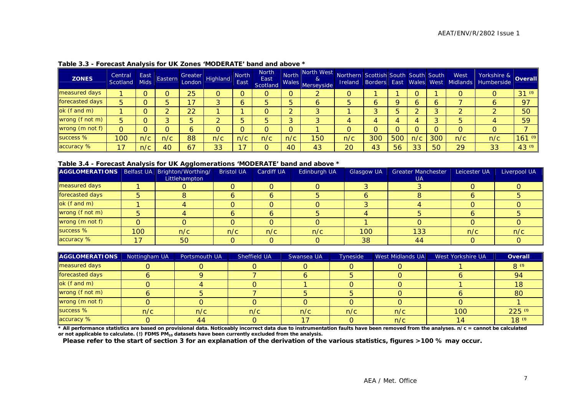| <b>ZONES</b>    | Central<br>Scotland | East<br>Mids <sup>1</sup> | Eastern | Greater<br>London | Highland | <b>North</b><br>East | <b>North</b><br>East<br>Scotland | Wales    | North North West<br>$\alpha$<br>Merseyside | Northern Scottish South South South<br>Ireland | Borders East Wales West |     |     |     | West<br>Midlands | Yorkshire &<br>Humberside | <b>Overall</b>       |
|-----------------|---------------------|---------------------------|---------|-------------------|----------|----------------------|----------------------------------|----------|--------------------------------------------|------------------------------------------------|-------------------------|-----|-----|-----|------------------|---------------------------|----------------------|
| measured days   |                     |                           |         | 25                |          |                      | 0                                | $\circ$  |                                            |                                                |                         |     |     |     |                  |                           | $31^{(0)}$           |
| forecasted days | 5                   |                           |         |                   |          | <sup>o</sup>         | 5                                | 5        | 6                                          |                                                |                         |     |     |     |                  |                           | 97                   |
| ok (f and m)    |                     |                           |         | 22                |          |                      | 0                                |          |                                            |                                                |                         |     |     |     |                  |                           | 50                   |
| wrong (f not m) | 5                   |                           |         |                   |          | ц                    | 5                                | 3        |                                            |                                                |                         |     | 4   |     |                  |                           | 59                   |
| wrong (m not f) | 0                   |                           |         | 6                 |          |                      | 0                                | $\Omega$ |                                            |                                                |                         |     |     |     |                  |                           |                      |
| success %       | 100                 | n/c                       | n/c     | 88                | n/c      | n/c                  | n/c                              | n/c      | 150                                        | n/c                                            | 300                     | 500 | n/c | 300 | n/c              | n/c                       | $161$ <sup>(0)</sup> |
| accuracy %      | 17                  | n/c                       | 40      | 67                | 33       | 17                   | O                                | 40       | 43                                         | 20                                             | 43                      | 56  | 33  | 50  | 29               | 33                        | 43 <sup>(0)</sup>    |

#### **Table 3.3 - Forecast Analysis for UK Zones 'MODERATE' band and above \***

#### **Table 3.4 - Forecast Analysis for UK Agglomerations 'MODERATE' band and above \***

| AGGLOMERATIONS   Belfast UA   Brighton/Worthing/ |     |               | <b>Bristol UA</b> | <b>Cardiff UA</b> | Edinburgh UA | <b>Glasgow UA</b> | <b>Greater Manchester</b> | Leicester UA | Liverpool UA |
|--------------------------------------------------|-----|---------------|-------------------|-------------------|--------------|-------------------|---------------------------|--------------|--------------|
|                                                  |     | Littlehampton |                   |                   |              |                   | <b>UA</b>                 |              |              |
| measured days                                    |     |               |                   |                   |              |                   |                           |              |              |
| forecasted days                                  |     |               |                   |                   |              |                   |                           |              |              |
| ok (f and m)                                     |     |               |                   |                   |              |                   |                           |              |              |
| wrong (f not m)                                  |     |               |                   |                   |              |                   |                           |              |              |
| wrong (m not f)                                  |     |               |                   |                   |              |                   |                           |              |              |
| success %                                        | 100 | n/c           | n/c               | n/c               | n/c          | 100               | 133                       | n/c          | n/c          |
| accuracy %                                       | 17  | 50            |                   |                   |              | 38                | 44                        |              |              |

| <b>AGGLOMERATIONS</b> | Nottingham UA | Portsmouth UA | Sheffield UA | Swansea UA | Tyneside | West Midlands UA | West Yorkshire UA | Overall              |
|-----------------------|---------------|---------------|--------------|------------|----------|------------------|-------------------|----------------------|
| measured days         |               |               |              |            |          |                  |                   | 8 (0)                |
| forecasted days       |               |               |              |            |          |                  |                   | -94                  |
| ok (f and m)          |               |               |              |            |          |                  |                   | 18                   |
| wrong (f not m)       |               |               |              |            |          |                  |                   | 80                   |
| wrong (m not f)       |               |               |              |            |          |                  |                   |                      |
| success %             | n/c           | n/c           | n/c          | n/c        | n/c      | n/c              | 100               | $225$ <sup>(1)</sup> |
| accuracy %            |               | 44            |              |            |          | n/c              | 14.               | 18 <sup>0</sup>      |

\* All performance statistics are based on provisional data. Noticeably incorrect data due to instrumentation faults have been removed from the analyses. n/c = cannot be calculated **or not applicable to calculate. (!) FDMS PM10 datasets have been currently excluded from the analysis.** 

**Please refer to the start of section 3 for an explanation of the derivation of the various statistics, figures >100 % may occur.**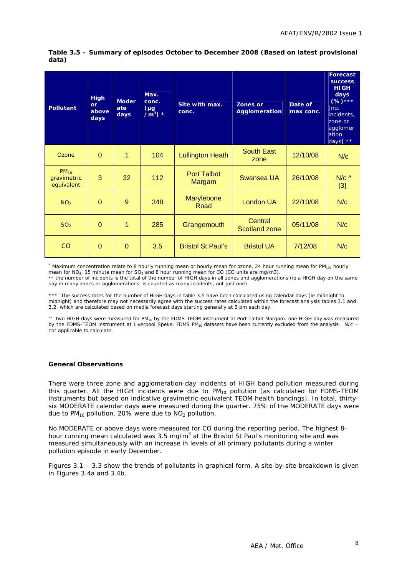#### **Table 3.5 – Summary of episodes October to December 2008 (Based on latest provisional data)**

| <b>Pollutant</b>                       | <b>High</b><br>or<br>above<br>days | <b>Moder</b><br>ate<br>days | Max.<br>conc.<br>$(\mu g)$<br>$\sqrt{m^3}$ * | Site with max.<br>conc.      | <b>Zones or</b><br><b>Agglomeration</b> | Date of<br>max conc. | <b>Forecast</b><br><b>SUCCESS</b><br><b>HIGH</b><br>days<br>$(%)***$<br>[no.]<br>incidents,<br>zone or<br>agglomer<br>ation<br>days] ** |
|----------------------------------------|------------------------------------|-----------------------------|----------------------------------------------|------------------------------|-----------------------------------------|----------------------|-----------------------------------------------------------------------------------------------------------------------------------------|
| Ozone                                  | $\Omega$                           | 1                           | 104                                          | <b>Lullington Heath</b>      | <b>South East</b><br>zone               | 12/10/08             | N/c                                                                                                                                     |
| $PM_{10}$<br>gravimetric<br>equivalent | 3                                  | 32                          | 112                                          | <b>Port Talbot</b><br>Margam | Swansea UA                              | 26/10/08             | $N/c$ ^<br>$[3]$                                                                                                                        |
| NO <sub>2</sub>                        | $\Omega$                           | 9                           | 348                                          | Marylebone<br>Road           | London UA                               | 22/10/08             | N/c                                                                                                                                     |
| SO <sub>2</sub>                        | $\overline{0}$                     | 1                           | 285                                          | Grangemouth                  | Central<br><b>Scotland zone</b>         | 05/11/08             | N/c                                                                                                                                     |
| CO                                     | $\Omega$                           | $\Omega$                    | 3.5                                          | <b>Bristol St Paul's</b>     | <b>Bristol UA</b>                       | 7/12/08              | N/c                                                                                                                                     |

\* Maximum concentration relate to 8 hourly running mean or hourly mean for ozone, 24 hour running mean for PM<sub>10</sub>, hourly mean for  $NO<sub>2</sub>$ , 15 minute mean for  $SO<sub>2</sub>$  and 8 hour running mean for CO (CO units are mg/m3).

\*\* the number of incidents is the total of the number of HIGH days in all zones and agglomerations (ie a HIGH day on the same day in many zones or agglomerations is counted as many incidents, not just one)

\*\*\* The success rates for the number of HIGH days in table 3.5 have been calculated using calendar days (ie midnight to midnight) and therefore may not necessarily agree with the success rates calculated within the forecast analysis tables 3.1 and 3.2, which are calculated based on media forecast days starting generally at 3 pm each day.

 $\land$  two HIGH days were measured for PM<sub>10</sub> by the FDMS-TEOM instrument at Port Talbot Margam. one HIGH day was measured by the FDMS-TEOM instrument at Liverpool Speke. FDMS  $PM_{10}$  datasets have been currently excluded from the analysis. N/c = not applicable to calculate.

#### **General Observations**

There were three zone and agglomeration-day incidents of HIGH band pollution measured during this quarter. All the HIGH incidents were due to  $PM_{10}$  pollution [as calculated for FDMS-TEOM instruments but based on indicative gravimetric equivalent TEOM health bandings]. In total, thirtysix MODERATE calendar days were measured during the quarter. 75% of the MODERATE days were due to  $PM_{10}$  pollution, 20% were due to  $NO<sub>2</sub>$  pollution.

No MODERATE or above days were measured for CO during the reporting period. The highest 8 hour running mean calculated was 3.5 mg/m<sup>3</sup> at the Bristol St Paul's monitoring site and was measured simultaneously with an increase in levels of all primary pollutants during a winter pollution episode in early December.

Figures 3.1 – 3.3 show the trends of pollutants in graphical form. A site-by-site breakdown is given in Figures 3.4a and 3.4b.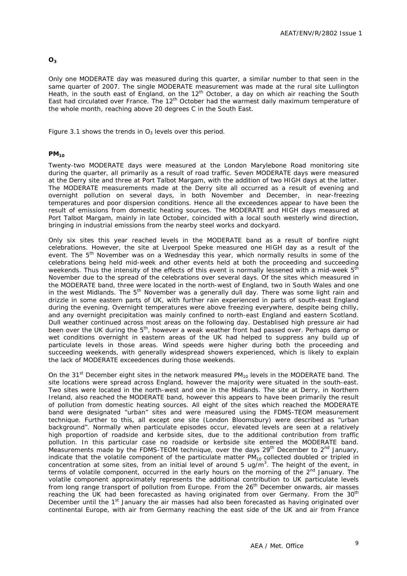#### **O3**

Only one MODERATE day was measured during this quarter, a similar number to that seen in the same quarter of 2007. The single MODERATE measurement was made at the rural site Lullington Heath, in the south east of England, on the 12<sup>th</sup> October, a day on which air reaching the South East had circulated over France. The 12<sup>th</sup> October had the warmest daily maximum temperature of the whole month, reaching above 20 degrees C in the South East.

Figure 3.1 shows the trends in  $O_3$  levels over this period.

#### **PM10**

Twenty-two MODERATE days were measured at the London Marylebone Road monitoring site during the quarter, all primarily as a result of road traffic. Seven MODERATE days were measured at the Derry site and three at Port Talbot Margam, with the addition of two HIGH days at the latter. The MODERATE measurements made at the Derry site all occurred as a result of evening and overnight pollution on several days, in both November and December, in near-freezing temperatures and poor dispersion conditions. Hence all the exceedences appear to have been the result of emissions from domestic heating sources. The MODERATE and HIGH days measured at Port Talbot Margam, mainly in late October, coincided with a local south westerly wind direction, bringing in industrial emissions from the nearby steel works and dockyard.

Only six sites this year reached levels in the MODERATE band as a result of bonfire night celebrations. However, the site at Liverpool Speke measured one HIGH day as a result of the event. The  $5<sup>th</sup>$  November was on a Wednesday this year, which normally results in some of the celebrations being held mid-week and other events held at both the proceeding and succeeding weekends. Thus the intensity of the effects of this event is normally lessened with a mid-week  $5^{\overline{th}}$ November due to the spread of the celebrations over several days. Of the sites which measured in the MODERATE band, three were located in the north-west of England, two in South Wales and one in the west Midlands. The  $5<sup>th</sup>$  November was a generally dull day. There was some light rain and drizzle in some eastern parts of UK, with further rain experienced in parts of south-east England during the evening. Overnight temperatures were above freezing everywhere, despite being chilly, and any overnight precipitation was mainly confined to north-east England and eastern Scotland. Dull weather continued across most areas on the following day. Destablised high pressure air had been over the UK during the 5<sup>th</sup>, however a weak weather front had passed over. Perhaps damp or wet conditions overnight in eastern areas of the UK had helped to suppress any build up of particulate levels in those areas. Wind speeds were higher during both the proceeding and succeeding weekends, with generally widespread showers experienced, which is likely to explain the lack of MODERATE exceedences during those weekends.

On the 31<sup>st</sup> December eight sites in the network measured  $PM_{10}$  levels in the MODERATE band. The site locations were spread across England, however the majority were situated in the south-east. Two sites were located in the north-west and one in the Midlands. The site at Derry, in Northern Ireland, also reached the MODERATE band, however this appears to have been primarily the result of pollution from domestic heating sources. All eight of the sites which reached the MODERATE band were designated "urban" sites and were measured using the FDMS-TEOM measurement technique. Further to this, all except one site (London Bloomsbury) were described as "urban background". Normally when particulate episodes occur, elevated levels are seen at a relatively high proportion of roadside and kerbside sites, due to the additional contribution from traffic pollution. In this particular case no roadside or kerbside site entered the MODERATE band. Measurements made by the FDMS-TEOM technique, over the days  $29<sup>th</sup>$  December to  $2<sup>nd</sup>$  January, indicate that the volatile component of the particulate matter  $PM_{10}$  collected doubled or tripled in concentration at some sites, from an initial level of around 5 ug/m<sup>3</sup>. The height of the event, in terms of volatile component, occurred in the early hours on the morning of the  $2^{nd}$  January. The volatile component approximately represents the additional contribution to UK particulate levels from long range transport of pollution from Europe. From the 26<sup>th</sup> December onwards, air masses reaching the UK had been forecasted as having originated from over Germany. From the 30<sup>th</sup> December until the 1<sup>st</sup> January the air masses had also been forecasted as having originated over continental Europe, with air from Germany reaching the east side of the UK and air from France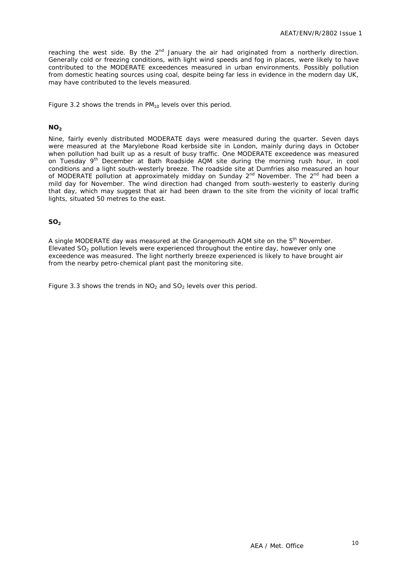reaching the west side. By the 2<sup>nd</sup> January the air had originated from a northerly direction. Generally cold or freezing conditions, with light wind speeds and fog in places, were likely to have contributed to the MODERATE exceedences measured in urban environments. Possibly pollution from domestic heating sources using coal, despite being far less in evidence in the modern day UK, may have contributed to the levels measured.

Figure 3.2 shows the trends in  $PM_{10}$  levels over this period.

#### $NO<sub>2</sub>$

Nine, fairly evenly distributed MODERATE days were measured during the quarter. Seven days were measured at the Marylebone Road kerbside site in London, mainly during days in October when pollution had built up as a result of busy traffic. One MODERATE exceedence was measured on Tuesday 9th December at Bath Roadside AQM site during the morning rush hour, in cool conditions and a light south-westerly breeze. The roadside site at Dumfries also measured an hour of MODERATE pollution at approximately midday on Sunday  $2^{nd}$  November. The  $2^{nd}$  had been a mild day for November. The wind direction had changed from south-westerly to easterly during that day, which may suggest that air had been drawn to the site from the vicinity of local traffic lights, situated 50 metres to the east.

#### **SO<sub>2</sub>**

A single MODERATE day was measured at the Grangemouth AQM site on the 5<sup>th</sup> November. Elevated  $SO<sub>2</sub>$  pollution levels were experienced throughout the entire day, however only one exceedence was measured. The light northerly breeze experienced is likely to have brought air from the nearby petro-chemical plant past the monitoring site.

Figure 3.3 shows the trends in  $NO<sub>2</sub>$  and  $SO<sub>2</sub>$  levels over this period.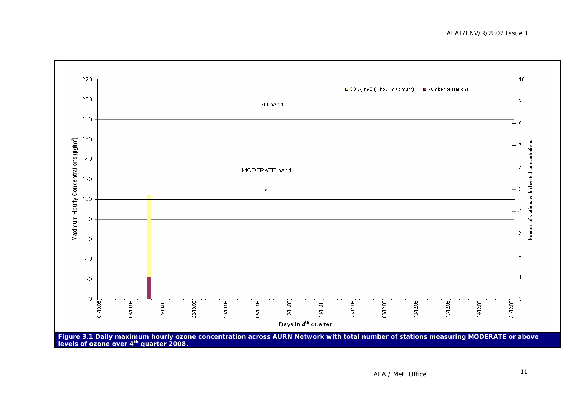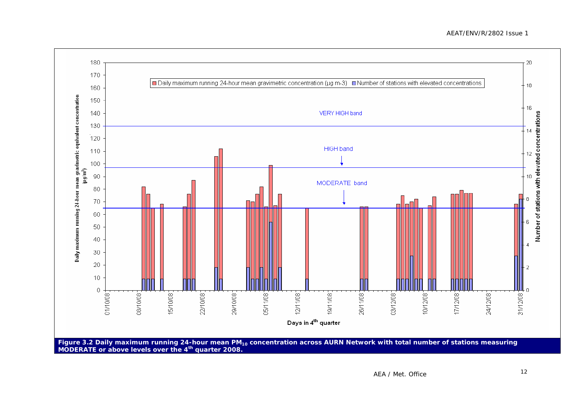#### AEAT/ENV/R/2802 Issue 1

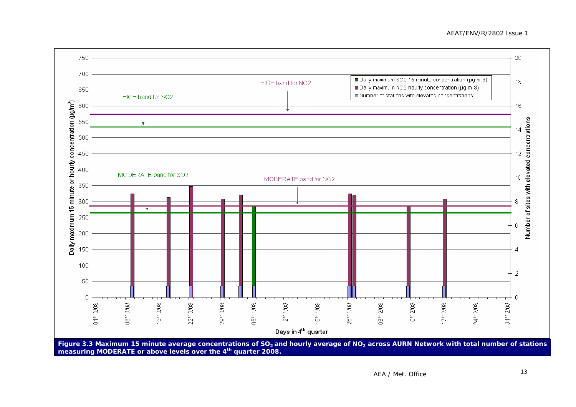AEAT/ENV/R/2802 Issue 1

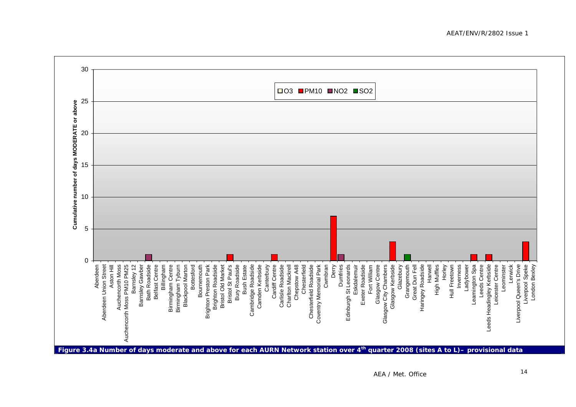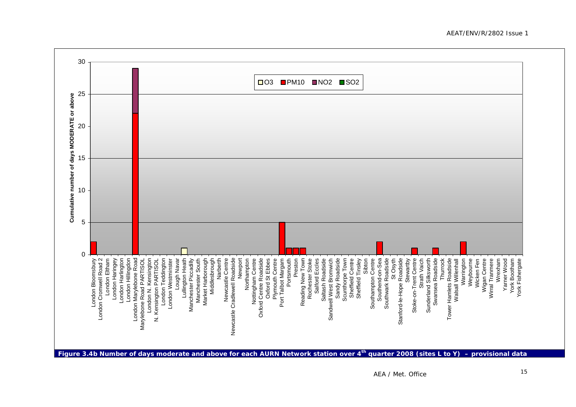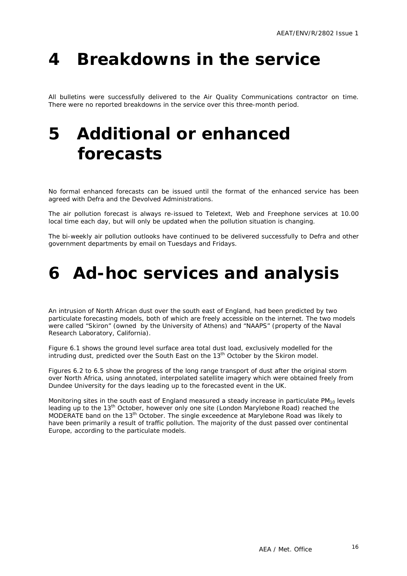## <span id="page-18-0"></span>**4 Breakdowns in the service**

All bulletins were successfully delivered to the Air Quality Communications contractor on time. There were no reported breakdowns in the service over this three-month period.

## **5 Additional or enhanced forecasts**

No formal enhanced forecasts can be issued until the format of the enhanced service has been agreed with Defra and the Devolved Administrations.

The air pollution forecast is always re-issued to Teletext, Web and Freephone services at 10.00 local time each day, but will only be updated when the pollution situation is changing.

The bi-weekly air pollution outlooks have continued to be delivered successfully to Defra and other government departments by email on Tuesdays and Fridays.

## **6 Ad-hoc services and analysis**

An intrusion of North African dust over the south east of England, had been predicted by two particulate forecasting models, both of which are freely accessible on the internet. The two models were called "Skiron" (owned by the University of Athens) and "NAAPS" (property of the Naval Research Laboratory, California).

Figure 6.1 shows the ground level surface area total dust load, exclusively modelled for the intruding dust, predicted over the South East on the 13<sup>th</sup> October by the Skiron model.

Figures 6.2 to 6.5 show the progress of the long range transport of dust after the original storm over North Africa, using annotated, interpolated satellite imagery which were obtained freely from Dundee University for the days leading up to the forecasted event in the UK.

Monitoring sites in the south east of England measured a steady increase in particulate  $PM_{10}$  levels leading up to the 13<sup>th</sup> October, however only one site (London Marylebone Road) reached the MODERATE band on the 13<sup>th</sup> October. The single exceedence at Marylebone Road was likely to have been primarily a result of traffic pollution. The majority of the dust passed over continental Europe, according to the particulate models.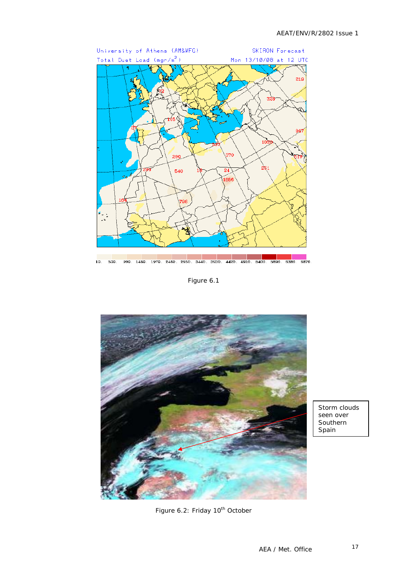

Figure 6.1



Storm clouds seen over Southern Spain

Figure 6.2: Friday 10<sup>th</sup> October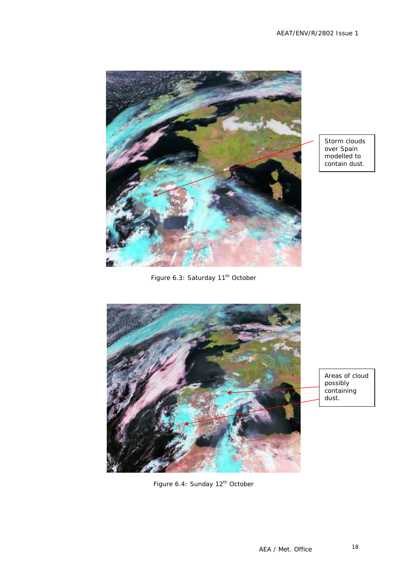

Storm clouds over Spain modelled to contain dust.

Figure 6.3: Saturday 11<sup>th</sup> October



Areas of cloud possibly containing dust.

Figure 6.4: Sunday 12<sup>th</sup> October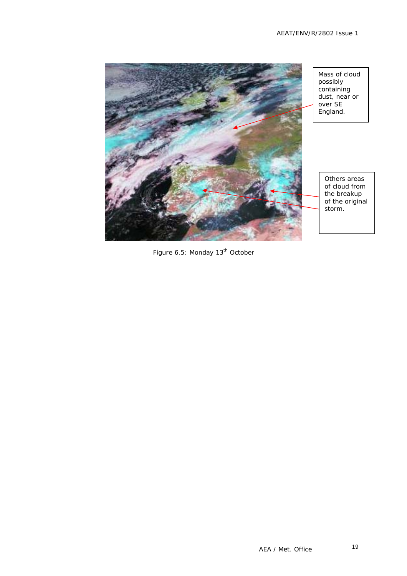

Figure 6.5: Monday 13<sup>th</sup> October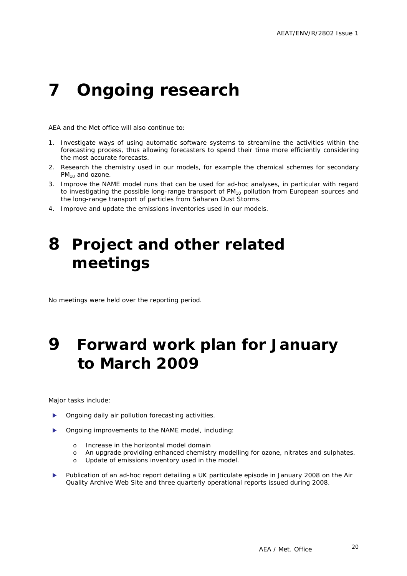## <span id="page-22-0"></span>**7 Ongoing research**

AEA and the Met office will also continue to:

- 1. Investigate ways of using automatic software systems to streamline the activities within the forecasting process, thus allowing forecasters to spend their time more efficiently considering the most accurate forecasts.
- 2. Research the chemistry used in our models, for example the chemical schemes for secondary  $PM_{10}$  and ozone.
- 3. Improve the NAME model runs that can be used for ad-hoc analyses, in particular with regard to investigating the possible long-range transport of  $PM_{10}$  pollution from European sources and the long-range transport of particles from Saharan Dust Storms.
- 4. Improve and update the emissions inventories used in our models.

### **8 Project and other related meetings**

No meetings were held over the reporting period.

### **9 Forward work plan for January to March 2009**

Major tasks include:

- Ongoing daily air pollution forecasting activities.
- Ongoing improvements to the NAME model, including:
	- o Increase in the horizontal model domain
	- o An upgrade providing enhanced chemistry modelling for ozone, nitrates and sulphates.
	- o Update of emissions inventory used in the model.
- Publication of an ad-hoc report detailing a UK particulate episode in January 2008 on the Air Quality Archive Web Site and three quarterly operational reports issued during 2008.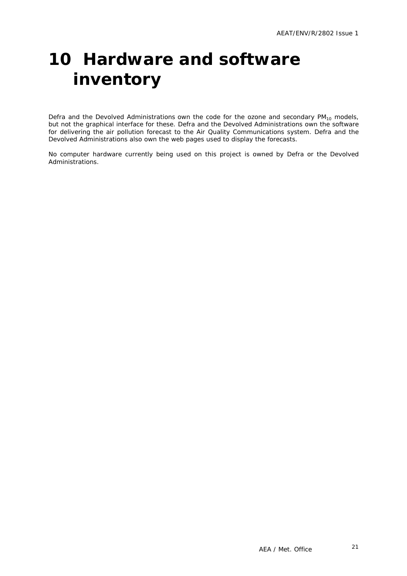## <span id="page-23-0"></span>**10 Hardware and software inventory**

Defra and the Devolved Administrations own the code for the ozone and secondary  $PM_{10}$  models, but not the graphical interface for these. Defra and the Devolved Administrations own the software for delivering the air pollution forecast to the Air Quality Communications system. Defra and the Devolved Administrations also own the web pages used to display the forecasts.

No computer hardware currently being used on this project is owned by Defra or the Devolved Administrations.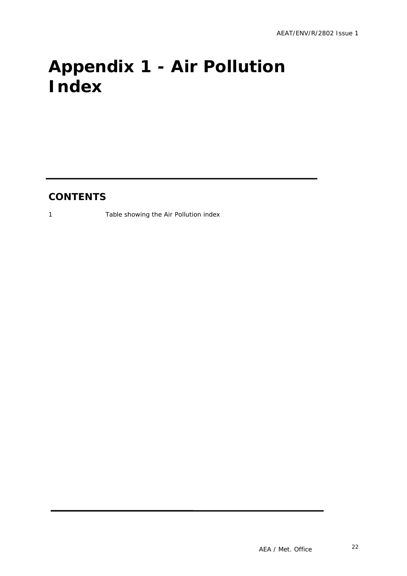# <span id="page-24-0"></span>**Appendix 1 - Air Pollution Index**

### **CONTENTS**

1 Table showing the Air Pollution index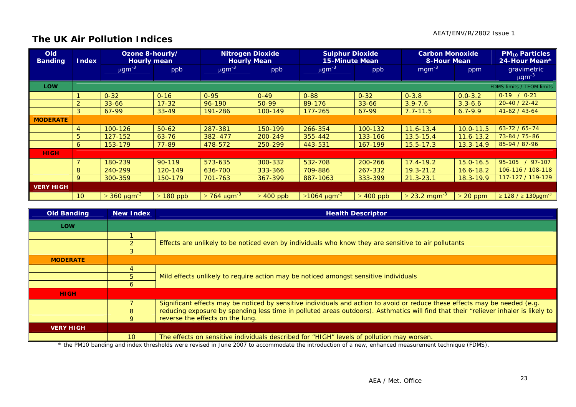### **The UK Air Pollution Indices**

| <b>Old</b><br><b>Banding</b> | <b>Index</b>    | Ozone 8-hourly/<br><b>Hourly mean</b> |                | <b>Nitrogen Dioxide</b><br><b>Hourly Mean</b> |                | <b>Sulphur Dioxide</b><br><b>15-Minute Mean</b> |                | <b>Carbon Monoxide</b><br><b>8-Hour Mean</b> |               | <b>PM<sub>10</sub> Particles</b><br>24-Hour Mean* |
|------------------------------|-----------------|---------------------------------------|----------------|-----------------------------------------------|----------------|-------------------------------------------------|----------------|----------------------------------------------|---------------|---------------------------------------------------|
|                              |                 | $\mu$ gm <sup>-3</sup>                | ppb            | $\mu$ gm <sup>-3</sup>                        | ppb            | $\mu$ gm <sup>-3</sup>                          | ppb            | $mgm^{-3}$                                   | ppm           | gravimetric<br>$\mu$ gm <sup>-3</sup>             |
| <b>LOW</b>                   |                 |                                       |                |                                               |                |                                                 |                |                                              |               | FDMS limits / TEOM limits                         |
|                              |                 | $0 - 32$                              | $0 - 16$       | $0 - 95$                                      | $0 - 49$       | $0 - 88$                                        | $0 - 32$       | $0 - 3.8$                                    | $0.0 - 3.2$   | $0-19$ / $0-21$                                   |
|                              |                 | $33 - 66$                             | $17 - 32$      | 96-190                                        | $50-99$        | 89-176                                          | $33 - 66$      | $3.9 - 7.6$                                  | $3.3 - 6.6$   | $20 - 40 / 22 - 42$                               |
|                              | 3               | 67-99                                 | $33 - 49$      | 191-286                                       | 100-149        | $177 - 265$                                     | 67-99          | $7.7 - 11.5$                                 | $6.7 - 9.9$   | $41-62/43-64$                                     |
| <b>MODERATE</b>              |                 |                                       |                |                                               |                |                                                 |                |                                              |               |                                                   |
|                              | 4               | 100-126                               | $50 - 62$      | 287-381                                       | 150-199        | 266-354                                         | 100-132        | $11.6 - 13.4$                                | $10.0 - 11.5$ | $63 - 72 / 65 - 74$                               |
|                              | 5               | 127-152                               | $63 - 76$      | 382-477                                       | 200-249        | 355-442                                         | 133-166        | $13.5 - 15.4$                                | $11.6 - 13.2$ | 73-84 / 75-86                                     |
|                              | 6               | 153-179                               | 77-89          | 478-572                                       | 250-299        | 443-531                                         | 167-199        | $15.5 - 17.3$                                | $13.3 - 14.9$ | 85-94 / 87-96                                     |
| <b>HIGH</b>                  |                 |                                       |                |                                               |                |                                                 |                |                                              |               |                                                   |
|                              |                 | 180-239                               | $90 - 119$     | 573-635                                       | 300-332        | 532-708                                         | 200-266        | $17.4 - 19.2$                                | $15.0 - 16.5$ | $/97-107$<br>95-105                               |
|                              | 8               | 240-299                               | 120-149        | 636-700                                       | 333-366        | 709-886                                         | 267-332        | $19.3 - 21.2$                                | $16.6 - 18.2$ | 106-116 / 108-118                                 |
|                              | 9               | 300-359                               | 150-179        | 701-763                                       | 367-399        | 887-1063                                        | 333-399        | $21.3 - 23.1$                                | $18.3 - 19.9$ | 117-127 / 119-129                                 |
| <b>VERY HIGH</b>             |                 |                                       |                |                                               |                |                                                 |                |                                              |               |                                                   |
|                              | 10 <sup>°</sup> | $\geq 360 \ \mu \text{gm}^{-3}$       | $\geq 180$ ppb | $\geq$ 764 µgm <sup>-3</sup>                  | $\geq 400$ ppb | $≥1064 \mu g m-3$                               | $\geq 400$ ppb | $\geq$ 23.2 mgm <sup>-3</sup>                | $\geq$ 20 ppm | $\geq 128$ / $\geq 130 \mu$ gm <sup>-3</sup>      |

| <b>Old Banding</b>                                                                                                                                 | <b>New Index</b> | <b>Health Descriptor</b>                                                                                                            |  |  |  |  |  |  |
|----------------------------------------------------------------------------------------------------------------------------------------------------|------------------|-------------------------------------------------------------------------------------------------------------------------------------|--|--|--|--|--|--|
| <b>LOW</b>                                                                                                                                         |                  |                                                                                                                                     |  |  |  |  |  |  |
|                                                                                                                                                    |                  |                                                                                                                                     |  |  |  |  |  |  |
|                                                                                                                                                    |                  | Effects are unlikely to be noticed even by individuals who know they are sensitive to air pollutants                                |  |  |  |  |  |  |
|                                                                                                                                                    |                  |                                                                                                                                     |  |  |  |  |  |  |
| <b>MODERATE</b>                                                                                                                                    |                  |                                                                                                                                     |  |  |  |  |  |  |
|                                                                                                                                                    |                  |                                                                                                                                     |  |  |  |  |  |  |
|                                                                                                                                                    |                  | Mild effects unlikely to require action may be noticed amongst sensitive individuals                                                |  |  |  |  |  |  |
|                                                                                                                                                    | 6                |                                                                                                                                     |  |  |  |  |  |  |
| <b>HIGH</b>                                                                                                                                        |                  |                                                                                                                                     |  |  |  |  |  |  |
|                                                                                                                                                    |                  | Significant effects may be noticed by sensitive individuals and action to avoid or reduce these effects may be needed (e.g.         |  |  |  |  |  |  |
|                                                                                                                                                    | 8                | reducing exposure by spending less time in polluted areas outdoors). Asthmatics will find that their "reliever inhaler is likely to |  |  |  |  |  |  |
|                                                                                                                                                    |                  | reverse the effects on the lung.                                                                                                    |  |  |  |  |  |  |
| <b>VERY HIGH</b>                                                                                                                                   |                  |                                                                                                                                     |  |  |  |  |  |  |
|                                                                                                                                                    | 10 <sup>°</sup>  | The effects on sensitive individuals described for "HIGH" levels of pollution may worsen.                                           |  |  |  |  |  |  |
| * the PM10 banding and index thresholds were revised in June 2007 to accommodate the introduction of a new, enhanced measurement technique (FDMS). |                  |                                                                                                                                     |  |  |  |  |  |  |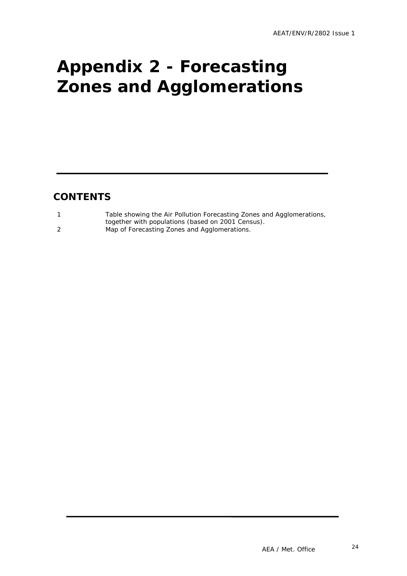# <span id="page-26-0"></span>**Appendix 2 - Forecasting Zones and Agglomerations**

### **CONTENTS**

| Table showing the Air Pollution Forecasting Zones and Agglomerations, |
|-----------------------------------------------------------------------|
| together with populations (based on 2001 Census).                     |
| Map of Forecasting Zones and Agglomerations.                          |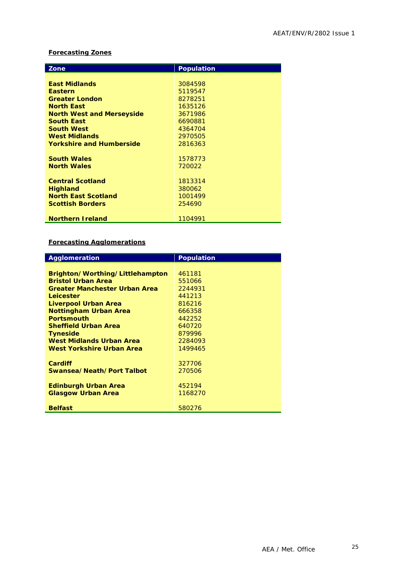#### **Forecasting Zones**

| Zone                             | <b>Population</b> |
|----------------------------------|-------------------|
|                                  |                   |
| <b>East Midlands</b>             | 3084598           |
| <b>Eastern</b>                   | 5119547           |
| <b>Greater London</b>            | 8278251           |
| <b>North East</b>                | 1635126           |
| <b>North West and Merseyside</b> | 3671986           |
| <b>South East</b>                | 6690881           |
| <b>South West</b>                | 4364704           |
| <b>West Midlands</b>             | 2970505           |
| <b>Yorkshire and Humberside</b>  | 2816363           |
|                                  |                   |
| <b>South Wales</b>               | 1578773           |
| <b>North Wales</b>               | 720022            |
|                                  |                   |
| <b>Central Scotland</b>          | 1813314           |
| <b>Highland</b>                  | 380062            |
| <b>North East Scotland</b>       | 1001499           |
| <b>Scottish Borders</b>          | 254690            |
|                                  |                   |
| <b>Northern Ireland</b>          | 1104991           |

#### **Forecasting Agglomerations**

| <b>Agglomeration</b>                 | <b>Population</b> |
|--------------------------------------|-------------------|
|                                      |                   |
| Brighton/Worthing/Littlehampton      | 461181            |
| <b>Bristol Urban Area</b>            | 551066            |
| <b>Greater Manchester Urban Area</b> | 2244931           |
| Leicester                            | 441213            |
| Liverpool Urban Area                 | 816216            |
| <b>Nottingham Urban Area</b>         | 666358            |
| <b>Portsmouth</b>                    | 442252            |
| <b>Sheffield Urban Area</b>          | 640720            |
| <b>Tyneside</b>                      | 879996            |
| <b>West Midlands Urban Area</b>      | 2284093           |
| West Yorkshire Urban Area            | 1499465           |
|                                      |                   |
| Cardiff                              | 327706            |
| Swansea/Neath/Port Talbot            | 270506            |
|                                      |                   |
| <b>Edinburgh Urban Area</b>          | 452194            |
| <b>Glasgow Urban Area</b>            | 1168270           |
|                                      |                   |
| <b>Belfast</b>                       | 580276            |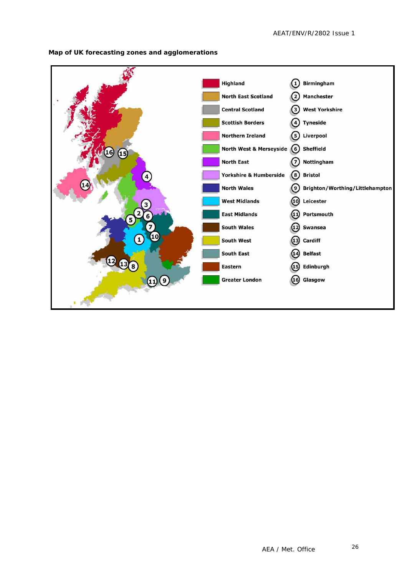

**Map of UK forecasting zones and agglomerations**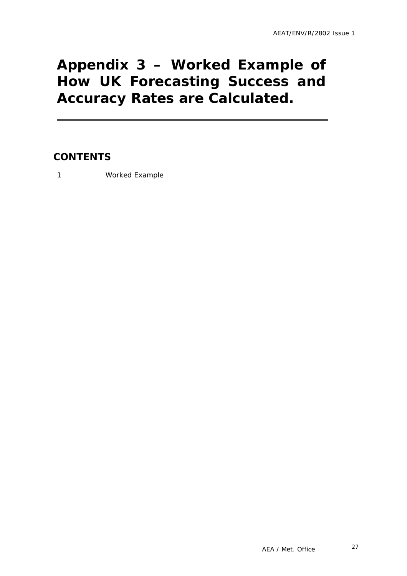### <span id="page-29-0"></span>**Appendix 3 – Worked Example of How UK Forecasting Success and Accuracy Rates are Calculated.**

### **CONTENTS**

1 Worked Example